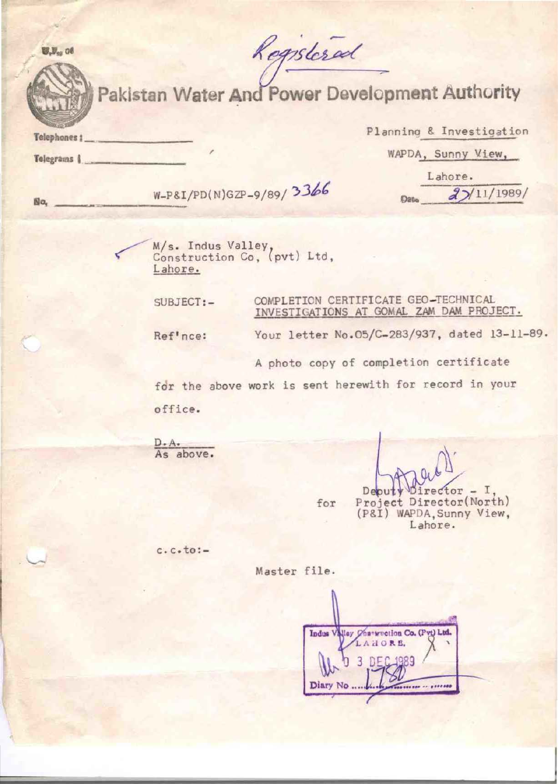Registeral

 $W, V_{\alpha}$  of

Pakistan Water And Power Development Authority

Telephones 1

Telegrams 1

Planning & Investigation WAPDA, Sunny View, Lahore.

No. <u>W-P&I/PD(N)GZP-9/89/</u> 3366 Date 27/11/1989/

M/s. Indus Valley<br>Construction Co, (pvt) Ltd, Lahore.

SUBJECT:- COMPLETION CERTIFICATE GEO-TECHNICAL INVESTIGATIONS AT GOMAL ZAM DAM PROJECT.

Ref'nce:

A photo copy of completion certificate

Your letter No.05/C-283/937, dated 13-11-89.

for the above work is sent herewith for record in your office.

D. A.<br>As above.

 $\mathbb{Q}$ Deputy Director - I,<br>for Project Director(North) (P&I) WAPDA,Sunny View, Lahore.

c.c.to:-

Master file.

Indus Valley Characterion Co. (Pvt) Ltd. LAHORE.  $DFC_19$ **Diary No**  $1888888$